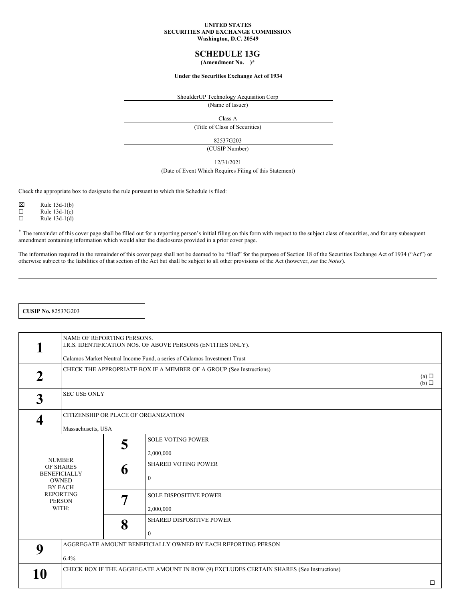#### **UNITED STATES SECURITIES AND EXCHANGE COMMISSION Washington, D.C. 20549**

# **SCHEDULE 13G**

**(Amendment No. )\***

### **Under the Securities Exchange Act of 1934**

ShoulderUP Technology Acquisition Corp

(Name of Issuer)

Class A

(Title of Class of Securities)

82537G203

(CUSIP Number)

12/31/2021

(Date of Event Which Requires Filing of this Statement)

Check the appropriate box to designate the rule pursuant to which this Schedule is filed:

 $\overline{\boxtimes}$  Rule 13d-1(b)<br>
Rule 13d-1(c)

Rule  $13d-1(c)$ 

 $\Box$  Rule 13d-1(d)

\* The remainder of this cover page shall be filled out for a reporting person's initial filing on this form with respect to the subject class of securities, and for any subsequent amendment containing information which would alter the disclosures provided in a prior cover page.

The information required in the remainder of this cover page shall not be deemed to be "filed" for the purpose of Section 18 of the Securities Exchange Act of 1934 ("Act") or otherwise subject to the liabilities of that section of the Act but shall be subject to all other provisions of the Act (however, *see* the *Notes*).

**CUSIP No.** 82537G203

|             | NAME OF REPORTING PERSONS.                                                                                                        |                                                                          | I.R.S. IDENTIFICATION NOS. OF ABOVE PERSONS (ENTITIES ONLY).                                                                  |        |  |  |
|-------------|-----------------------------------------------------------------------------------------------------------------------------------|--------------------------------------------------------------------------|-------------------------------------------------------------------------------------------------------------------------------|--------|--|--|
|             |                                                                                                                                   | Calamos Market Neutral Income Fund, a series of Calamos Investment Trust |                                                                                                                               |        |  |  |
| $\mathbf 2$ |                                                                                                                                   | CHECK THE APPROPRIATE BOX IF A MEMBER OF A GROUP (See Instructions)      | (a)<br>$(b)$ $\Box$                                                                                                           |        |  |  |
| 3           | <b>SEC USE ONLY</b>                                                                                                               |                                                                          |                                                                                                                               |        |  |  |
|             | CITIZENSHIP OR PLACE OF ORGANIZATION<br>Massachusetts, USA                                                                        |                                                                          |                                                                                                                               |        |  |  |
|             | <b>NUMBER</b><br>OF SHARES<br><b>BENEFICIALLY</b><br><b>OWNED</b><br><b>BY EACH</b><br><b>REPORTING</b><br><b>PERSON</b><br>WITH: | 5<br>6<br>7                                                              | <b>SOLE VOTING POWER</b><br>2,000,000<br><b>SHARED VOTING POWER</b><br>$\theta$<br><b>SOLE DISPOSITIVE POWER</b><br>2,000,000 |        |  |  |
|             |                                                                                                                                   | 8                                                                        | SHARED DISPOSITIVE POWER<br>$\mathbf{0}$                                                                                      |        |  |  |
| 9           | AGGREGATE AMOUNT BENEFICIALLY OWNED BY EACH REPORTING PERSON                                                                      |                                                                          |                                                                                                                               |        |  |  |
|             | 6.4%                                                                                                                              |                                                                          |                                                                                                                               |        |  |  |
| 10          | CHECK BOX IF THE AGGREGATE AMOUNT IN ROW (9) EXCLUDES CERTAIN SHARES (See Instructions)                                           |                                                                          |                                                                                                                               |        |  |  |
|             |                                                                                                                                   |                                                                          |                                                                                                                               | $\Box$ |  |  |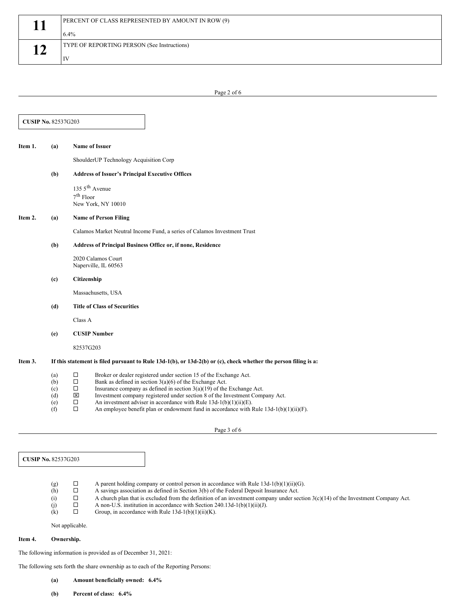|               | PERCENT OF CLASS REPRESENTED BY AMOUNT IN ROW (9) |  |  |  |  |
|---------------|---------------------------------------------------|--|--|--|--|
|               | 6.4%                                              |  |  |  |  |
| $\rightarrow$ | TYPE OF REPORTING PERSON (See Instructions)       |  |  |  |  |
|               | IV                                                |  |  |  |  |

Page 2 of 6

| Item 1. | (a)                                                                                                                  | <b>Name of Issuer</b>                                                                                                                                                             |  |  |  |  |
|---------|----------------------------------------------------------------------------------------------------------------------|-----------------------------------------------------------------------------------------------------------------------------------------------------------------------------------|--|--|--|--|
|         |                                                                                                                      | ShoulderUP Technology Acquisition Corp                                                                                                                                            |  |  |  |  |
|         | (b)                                                                                                                  | <b>Address of Issuer's Principal Executive Offices</b>                                                                                                                            |  |  |  |  |
|         |                                                                                                                      | 135 5 <sup>th</sup> Avenue                                                                                                                                                        |  |  |  |  |
|         |                                                                                                                      | $7th$ Floor<br>New York, NY 10010                                                                                                                                                 |  |  |  |  |
|         |                                                                                                                      |                                                                                                                                                                                   |  |  |  |  |
| Item 2. | (a)                                                                                                                  | <b>Name of Person Filing</b>                                                                                                                                                      |  |  |  |  |
|         |                                                                                                                      | Calamos Market Neutral Income Fund, a series of Calamos Investment Trust                                                                                                          |  |  |  |  |
|         | (b)                                                                                                                  | Address of Principal Business Office or, if none, Residence                                                                                                                       |  |  |  |  |
|         |                                                                                                                      | 2020 Calamos Court<br>Naperville, IL 60563                                                                                                                                        |  |  |  |  |
|         |                                                                                                                      |                                                                                                                                                                                   |  |  |  |  |
|         | (c)                                                                                                                  | Citizenship                                                                                                                                                                       |  |  |  |  |
|         |                                                                                                                      | Massachusetts, USA                                                                                                                                                                |  |  |  |  |
|         | (d)                                                                                                                  | <b>Title of Class of Securities</b>                                                                                                                                               |  |  |  |  |
|         |                                                                                                                      | Class A                                                                                                                                                                           |  |  |  |  |
|         | (e)                                                                                                                  | <b>CUSIP Number</b>                                                                                                                                                               |  |  |  |  |
|         |                                                                                                                      | 82537G203                                                                                                                                                                         |  |  |  |  |
| Item 3. | If this statement is filed pursuant to Rule $13d-1(b)$ , or $13d-2(b)$ or (c), check whether the person filing is a: |                                                                                                                                                                                   |  |  |  |  |
|         | (a)                                                                                                                  | $\Box$<br>Broker or dealer registered under section 15 of the Exchange Act.                                                                                                       |  |  |  |  |
|         | (b)                                                                                                                  | $\Box$<br>Bank as defined in section $3(a)(6)$ of the Exchange Act.                                                                                                               |  |  |  |  |
|         | (c)<br>(d)                                                                                                           | $\Box$<br>Insurance company as defined in section $3(a)(19)$ of the Exchange Act.<br>$\mathbf{x}$<br>Investment company registered under section 8 of the Investment Company Act. |  |  |  |  |
|         | (e)                                                                                                                  | $\Box$<br>An investment adviser in accordance with Rule $13d-1(b)(1)(ii)(E)$ .                                                                                                    |  |  |  |  |
|         | (f)                                                                                                                  | $\Box$<br>An employee benefit plan or endowment fund in accordance with Rule $13d-1(b)(1)(ii)(F)$ .                                                                               |  |  |  |  |

**CUSIP No.** 82537G203

(g)  $\Box$  A parent holding company or control person in accordance with Rule 13d-1(b)(1)(ii)(G).<br>  $\Box$  A savings association as defined in Section 3(b) of the Federal Deposit Insurance Act. (h)  $\Box$  A savings association as defined in Section 3(b) of the Federal Deposit Insurance Act.<br>(i)  $\Box$  A church plan that is excluded from the definition of an investment company under sec  $\Box$  A church plan that is excluded from the definition of an investment company under section 3(c)(14) of the Investment Company Act.<br>A non-U.S. institution in accordance with Section 240.13d-1(b)(1)(ii)(J). (j)  $\Box$  A non-U.S. institution in accordance with Section 240.13d-1(b)(1)(ii)(J).<br>(k)  $\Box$  Group, in accordance with Rule 13d-1(b)(1)(ii)(K). Group, in accordance with Rule  $13d-1(b)(1)(ii)(K)$ .

Not applicable.

## **Item 4. Ownership.**

The following information is provided as of December 31, 2021:

The following sets forth the share ownership as to each of the Reporting Persons:

**(a) Amount beneficially owned: 6.4%**

**(b) Percent of class: 6.4%**